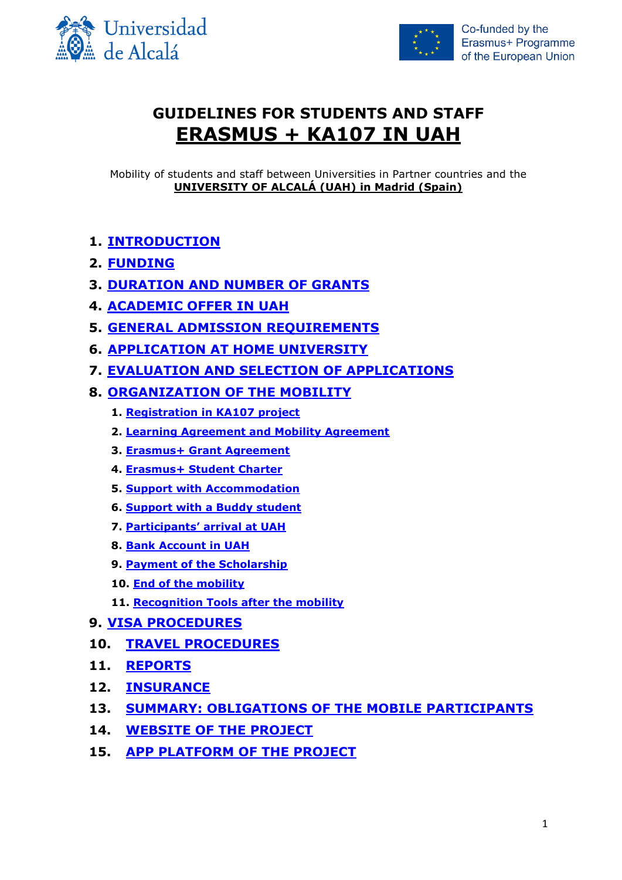



# **GUIDELINES FOR STUDENTS AND STAFF ERASMUS + KA107 IN UAH**

Mobility of students and staff between Universities in Partner countries and the **UNIVERSITY OF ALCALÁ (UAH) in Madrid (Spain)**

# **1. [INTRODUCTION](#page-1-0)**

- **2. [FUNDING](#page-1-1)**
- **3. DURATION AND [NUMBER OF GRANTS](#page-2-0)**
- **4. [ACADEMIC OFFER IN UAH](#page-3-0)**
- **5. [GENERAL ADMISSION REQUIREMENTS](#page-4-0)**
- **6. [APPLICATION AT HOME UNIVERSITY](#page-4-1)**
- **7. [EVALUATION AND SELECTION OF APPLICATIONS](#page-5-0)**
- **8. [ORGANIZATION OF THE MOBILITY](#page-5-1)**
	- **1. [Registration in KA107 project](#page-6-0)**
	- **2. [Learning Agreement and Mobility Agreement](#page-6-1)**
	- **3. [Erasmus+ Grant Agreement](#page-7-0)**
	- **4. [Erasmus+ Student Charter](#page-7-1)**
	- **5. [Support with Accommodation](#page-7-2)**
	- **6. [Support with a Buddy student](#page-8-0)**
	- **7. [Participants' arrival at UAH](#page-8-1)**
	- **8. Bank Account in UAH**
	- **9. [Payment of the Scholarship](#page-8-2)**
	- **10. [End of the mobility](#page-9-0)**
	- **11. [Recognition Tools after the mobility](#page-9-1)**
- **9. [VISA PROCEDURES](#page-10-0)**
- **10. [TRAVEL PROCEDURES](#page-10-1)**
- **11. [REPORTS](#page-10-2)**
- **12. [INSURANCE](#page-11-0)**
- **13. [SUMMARY: OBLIGATIONS OF THE MOBILE PARTICIPANTS](#page-11-1)**
- **14. [WEBSITE OF THE PROJECT](#page-12-0)**
- **15. [APP PLATFORM OF THE PROJECT](#page-12-1)**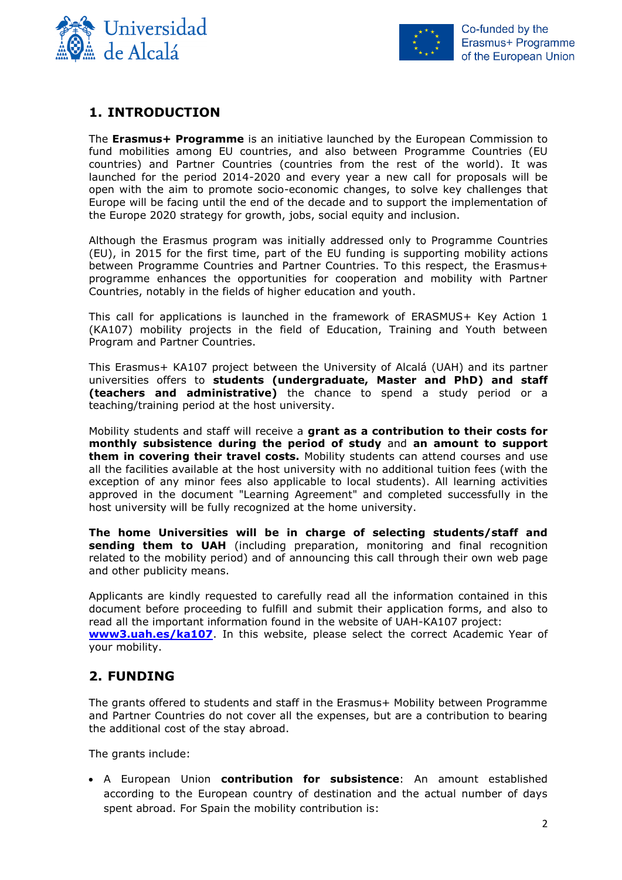



# <span id="page-1-0"></span>**1. INTRODUCTION**

The **Erasmus+ Programme** is an initiative launched by the European Commission to fund mobilities among EU countries, and also between Programme Countries (EU countries) and Partner Countries (countries from the rest of the world). It was launched for the period 2014-2020 and every year a new call for proposals will be open with the aim to promote socio-economic changes, to solve key challenges that Europe will be facing until the end of the decade and to support the implementation of the Europe 2020 strategy for growth, jobs, social equity and inclusion.

Although the Erasmus program was initially addressed only to Programme Countries (EU), in 2015 for the first time, part of the EU funding is supporting mobility actions between Programme Countries and Partner Countries. To this respect, the Erasmus+ programme enhances the opportunities for cooperation and mobility with Partner Countries, notably in the fields of higher education and youth.

This call for applications is launched in the framework of ERASMUS+ Key Action 1 (KA107) mobility projects in the field of Education, Training and Youth between Program and Partner Countries.

This Erasmus+ KA107 project between the University of Alcalá (UAH) and its partner universities offers to **students (undergraduate, Master and PhD) and staff (teachers and administrative)** the chance to spend a study period or a teaching/training period at the host university.

Mobility students and staff will receive a **grant as a contribution to their costs for monthly subsistence during the period of study** and **an amount to support them in covering their travel costs.** Mobility students can attend courses and use all the facilities available at the host university with no additional tuition fees (with the exception of any minor fees also applicable to local students). All learning activities approved in the document "Learning Agreement" and completed successfully in the host university will be fully recognized at the home university.

**The home Universities will be in charge of selecting students/staff and sending them to UAH** (including preparation, monitoring and final recognition related to the mobility period) and of announcing this call through their own web page and other publicity means.

Applicants are kindly requested to carefully read all the information contained in this document before proceeding to fulfill and submit their application forms, and also to read all the important information found in the website of UAH-KA107 project: **[www3.uah.es/ka107](http://www3.uah.es/ka107.pdf)**. In this website, please select the correct Academic Year of your mobility.

## <span id="page-1-1"></span>**2. FUNDING**

The grants offered to students and staff in the Erasmus+ Mobility between Programme and Partner Countries do not cover all the expenses, but are a contribution to bearing the additional cost of the stay abroad.

The grants include:

 A European Union **contribution for subsistence**: An amount established according to the European country of destination and the actual number of days spent abroad. For Spain the mobility contribution is: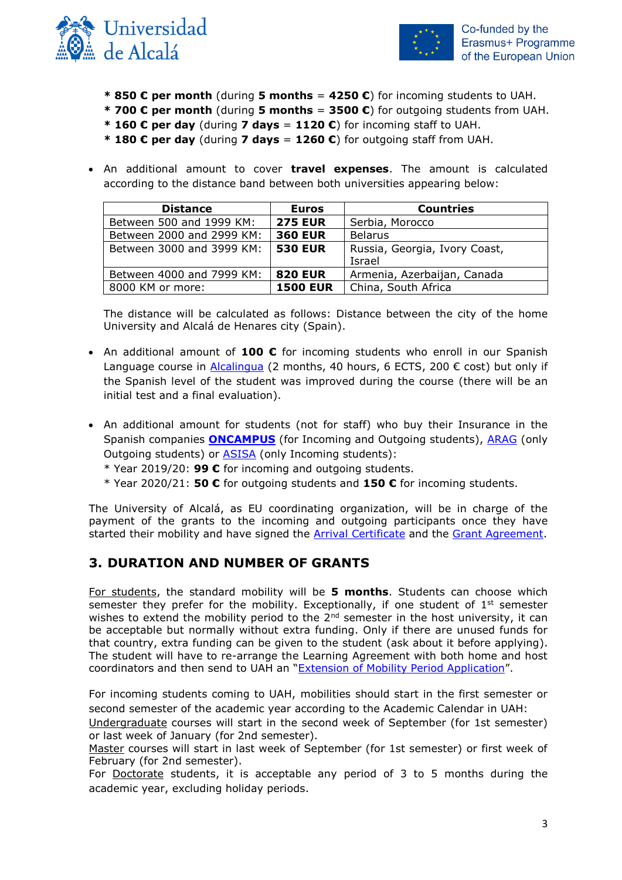



- **\* 850 € per month** (during **5 months** = **4250 €**) for incoming students to UAH.
- **\* 700 € per month** (during **5 months** = **3500 €**) for outgoing students from UAH.
- **\* 160 € per day** (during **7 days** = **1120 €**) for incoming staff to UAH.
- **\* 180 € per day** (during **7 days** = **1260 €**) for outgoing staff from UAH.
- An additional amount to cover **travel expenses**. The amount is calculated according to the distance band between both universities appearing below:

| <b>Distance</b>           | <b>Euros</b>    | <b>Countries</b>              |
|---------------------------|-----------------|-------------------------------|
| Between 500 and 1999 KM:  | <b>275 EUR</b>  | Serbia, Morocco               |
| Between 2000 and 2999 KM: | <b>360 EUR</b>  | <b>Belarus</b>                |
| Between 3000 and 3999 KM: | <b>530 EUR</b>  | Russia, Georgia, Ivory Coast, |
|                           |                 | Israel                        |
| Between 4000 and 7999 KM: | <b>820 EUR</b>  | Armenia, Azerbaijan, Canada   |
| 8000 KM or more:          | <b>1500 EUR</b> | China, South Africa           |

The distance will be calculated as follows: Distance between the city of the home University and Alcalá de Henares city (Spain).

- An additional amount of **100 €** for incoming students who enroll in our Spanish Language course in [Alcalingua](http://www.alcalingua.com/en) (2 months, 40 hours, 6 ECTS, 200  $\epsilon$  cost) but only if the Spanish level of the student was improved during the course (there will be an initial test and a final evaluation).
- An additional amount for students (not for staff) who buy their Insurance in the Spanish companies **[ONCAMPUS](http://www.oncampus.es/en/)** (for Incoming and Outgoing students), [ARAG](https://www.uah.es/es/conoce-la-uah/organizacion-y-gobierno/servicios-universitarios/coordinacion-de-servicios-generales/#seguros-universitarios) (only Outgoing students) or [ASISA](https://www.fgua.es/seguros/) (only Incoming students):
	- \* Year 2019/20: **99 €** for incoming and outgoing students.
	- \* Year 2020/21: **50 €** for outgoing students and **150 €** for incoming students.

The University of Alcalá, as EU coordinating organization, will be in charge of the payment of the grants to the incoming and outgoing participants once they have started their mobility and have signed the **Arrival Certificate** and the **Grant Agreement**.

### <span id="page-2-0"></span>**3. DURATION AND NUMBER OF GRANTS**

For students, the standard mobility will be **5 months**. Students can choose which semester they prefer for the mobility. Exceptionally, if one student of  $1<sup>st</sup>$  semester wishes to extend the mobility period to the  $2^{nd}$  semester in the host university, it can be acceptable but normally without extra funding. Only if there are unused funds for that country, extra funding can be given to the student (ask about it before applying). The student will have to re-arrange the Learning Agreement with both home and host coordinators and then send to UAH an "[Extension of Mobility Period Application](http://www3.uah.es/ka107/Forms/Extension-Mobility-Period.doc)".

For incoming students coming to UAH, mobilities should start in the first semester or second semester of the academic year according to the Academic Calendar in UAH:

Undergraduate courses will start in the second week of September (for 1st semester) or last week of January (for 2nd semester).

Master courses will start in last week of September (for 1st semester) or first week of February (for 2nd semester).

For Doctorate students, it is acceptable any period of 3 to 5 months during the academic year, excluding holiday periods.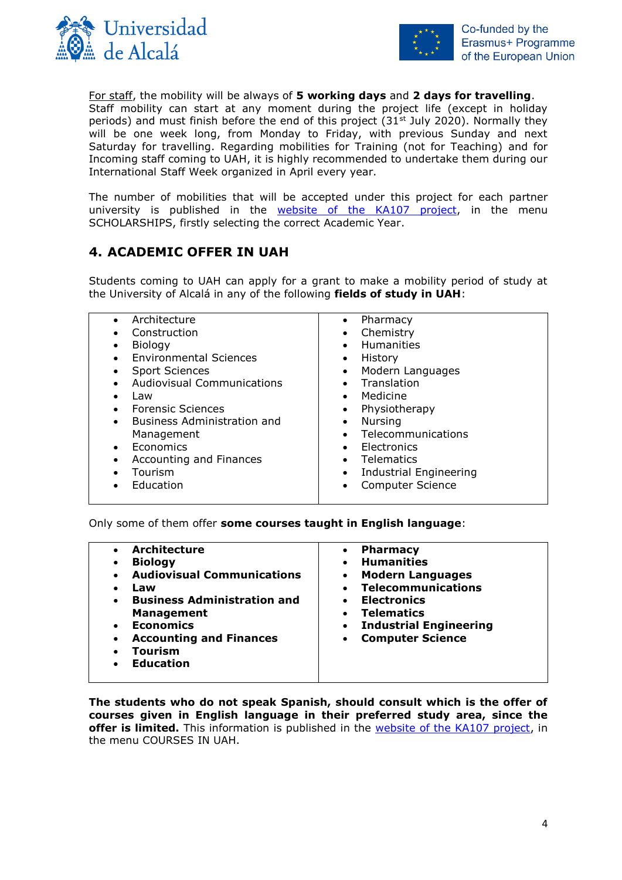



For staff, the mobility will be always of **5 working days** and **2 days for travelling**. Staff mobility can start at any moment during the project life (except in holiday periods) and must finish before the end of this project  $(31<sup>st</sup>$  July 2020). Normally they will be one week long, from Monday to Friday, with previous Sunday and next Saturday for travelling. Regarding mobilities for Training (not for Teaching) and for Incoming staff coming to UAH, it is highly recommended to undertake them during our International Staff Week organized in April every year.

The number of mobilities that will be accepted under this project for each partner university is published in the [website of the KA107 project,](http://www3.uah.es/ka107) in the menu SCHOLARSHIPS, firstly selecting the correct Academic Year.

# <span id="page-3-0"></span>**4. ACADEMIC OFFER IN UAH**

Students coming to UAH can apply for a grant to make a mobility period of study at the University of Alcalá in any of the following **fields of study in UAH**:

| Architecture<br>Construction<br>Biology<br><b>Environmental Sciences</b><br><b>Sport Sciences</b><br><b>Audiovisual Communications</b><br>Law<br><b>Forensic Sciences</b><br>Business Administration and<br>$\bullet$<br>Management<br>Economics<br>Accounting and Finances<br>Tourism<br>Education | Pharmacy<br>• Chemistry<br><b>Humanities</b><br>$\bullet$<br>History<br>$\bullet$<br>Modern Languages<br>$\bullet$<br>Translation<br>Medicine<br>$\bullet$<br>Physiotherapy<br>$\bullet$<br><b>Nursing</b><br>$\bullet$<br>• Telecommunications<br>Electronics<br>$\bullet$<br>Telematics<br>$\bullet$<br>Industrial Engineering<br>$\bullet$<br><b>Computer Science</b> |
|-----------------------------------------------------------------------------------------------------------------------------------------------------------------------------------------------------------------------------------------------------------------------------------------------------|--------------------------------------------------------------------------------------------------------------------------------------------------------------------------------------------------------------------------------------------------------------------------------------------------------------------------------------------------------------------------|
|-----------------------------------------------------------------------------------------------------------------------------------------------------------------------------------------------------------------------------------------------------------------------------------------------------|--------------------------------------------------------------------------------------------------------------------------------------------------------------------------------------------------------------------------------------------------------------------------------------------------------------------------------------------------------------------------|

Only some of them offer **some courses taught in English language**:

| <b>Architecture</b><br><b>Biology</b><br>$\bullet$<br><b>Audiovisual Communications</b><br>$\bullet$<br>Law<br>$\bullet$<br><b>Business Administration and</b><br>$\bullet$<br><b>Management</b><br><b>Economics</b><br>$\bullet$<br><b>Accounting and Finances</b><br>$\bullet$<br>Tourism<br><b>Education</b><br>$\bullet$ | <b>Pharmacy</b><br><b>Humanities</b><br><b>Modern Languages</b><br><b>Telecommunications</b><br><b>Electronics</b><br><b>Telematics</b><br><b>Industrial Engineering</b><br><b>Computer Science</b> |
|------------------------------------------------------------------------------------------------------------------------------------------------------------------------------------------------------------------------------------------------------------------------------------------------------------------------------|-----------------------------------------------------------------------------------------------------------------------------------------------------------------------------------------------------|
|------------------------------------------------------------------------------------------------------------------------------------------------------------------------------------------------------------------------------------------------------------------------------------------------------------------------------|-----------------------------------------------------------------------------------------------------------------------------------------------------------------------------------------------------|

**The students who do not speak Spanish, should consult which is the offer of courses given in English language in their preferred study area, since the offer is limited.** This information is published in the [website of the KA107 project,](http://www3.uah.es/ka107) in the menu COURSES IN UAH.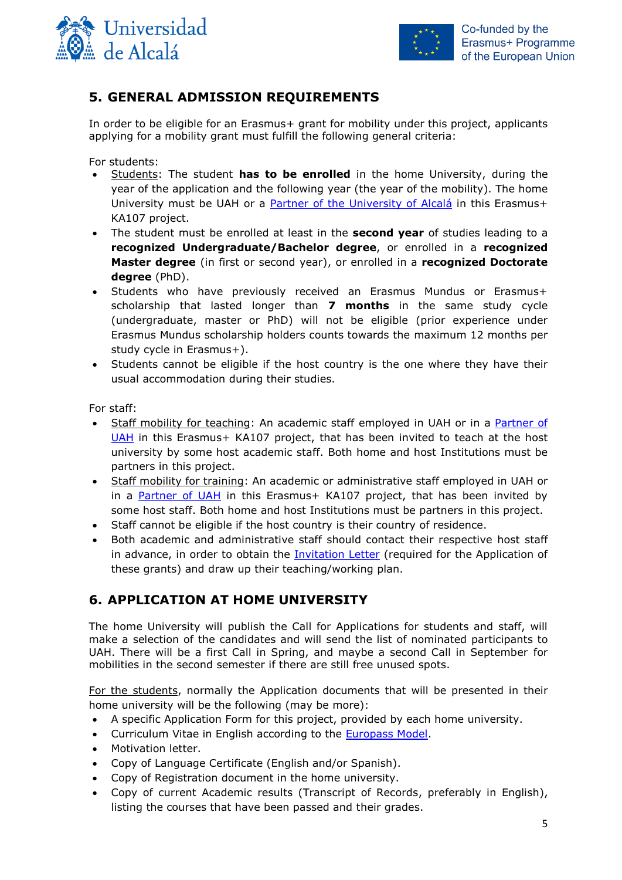



# <span id="page-4-0"></span>**5. GENERAL ADMISSION REQUIREMENTS**

In order to be eligible for an Erasmus+ grant for mobility under this project, applicants applying for a mobility grant must fulfill the following general criteria:

For students:

- Students: The student **has to be enrolled** in the home University, during the year of the application and the following year (the year of the mobility). The home University must be UAH or a [Partner of the University of Alcalá](http://www3.uah.es/ka107/2019-20/Partners.pdf) in this Erasmus+ KA107 project.
- The student must be enrolled at least in the **second year** of studies leading to a **recognized Undergraduate/Bachelor degree**, or enrolled in a **recognized Master degree** (in first or second year), or enrolled in a **recognized Doctorate degree** (PhD).
- Students who have previously received an Erasmus Mundus or Erasmus+ scholarship that lasted longer than **7 months** in the same study cycle (undergraduate, master or PhD) will not be eligible (prior experience under Erasmus Mundus scholarship holders counts towards the maximum 12 months per study cycle in Erasmus+).
- Students cannot be eligible if the host country is the one where they have their usual accommodation during their studies.

For staff:

- Staff mobility for teaching: An academic staff employed in UAH or in a [Partner of](http://www3.uah.es/ka107/2019-20/Partners.pdf)  [UAH](http://www3.uah.es/ka107/2019-20/Partners.pdf) in this Erasmus+ KA107 project, that has been invited to teach at the host university by some host academic staff. Both home and host Institutions must be partners in this project.
- Staff mobility for training: An academic or administrative staff employed in UAH or in a [Partner of UAH](http://www3.uah.es/ka107/2019-20/Partners.pdf) in this Erasmus+ KA107 project, that has been invited by some host staff. Both home and host Institutions must be partners in this project.
- Staff cannot be eligible if the host country is their country of residence.
- Both academic and administrative staff should contact their respective host staff in advance, in order to obtain the [Invitation Letter](http://www3.uah.es/ka107/Forms/Invitation_Letter_for_INCOMING_STAFF.docx) (required for the Application of these grants) and draw up their teaching/working plan.

# <span id="page-4-1"></span>**6. APPLICATION AT HOME UNIVERSITY**

The home University will publish the Call for Applications for students and staff, will make a selection of the candidates and will send the list of nominated participants to UAH. There will be a first Call in Spring, and maybe a second Call in September for mobilities in the second semester if there are still free unused spots.

For the students, normally the Application documents that will be presented in their home university will be the following (may be more):

- A specific Application Form for this project, provided by each home university.
- Curriculum Vitae in English according to the **Europass Model**.
- Motivation letter.
- Copy of Language Certificate (English and/or Spanish).
- Copy of Registration document in the home university.
- Copy of current Academic results (Transcript of Records, preferably in English), listing the courses that have been passed and their grades.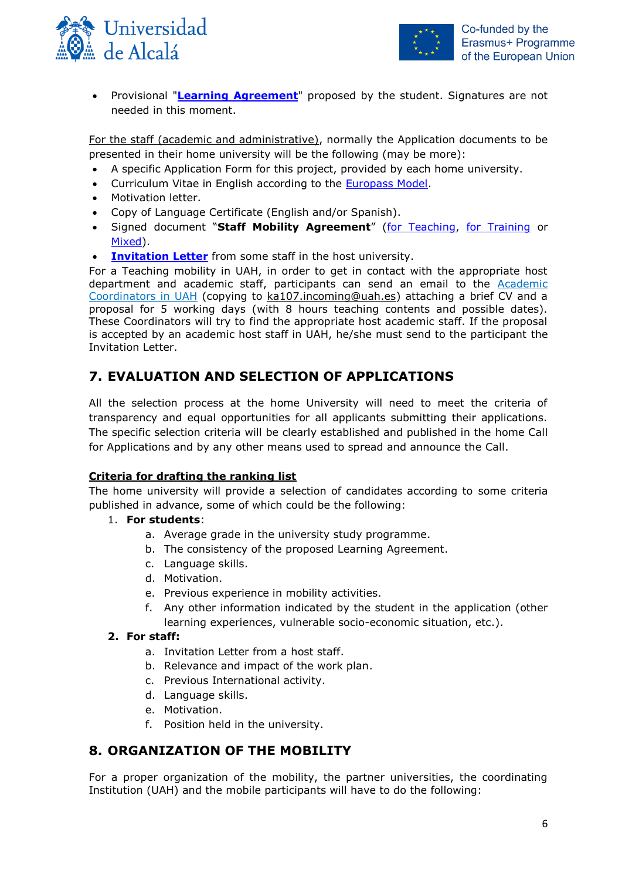



 Provisional "**[Learning Agreement](http://www3.uah.es/ka107/Forms/Learning-Agreement.doc)**" proposed by the student. Signatures are not needed in this moment.

For the staff (academic and administrative), normally the Application documents to be presented in their home university will be the following (may be more):

- A specific Application Form for this project, provided by each home university.
- Curriculum Vitae in English according to the [Europass Model.](http://europass.cedefop.europa.eu/documents/curriculum-vitae)
- Motivation letter.
- Copy of Language Certificate (English and/or Spanish).
- Signed document "**Staff Mobility Agreement**" [\(for Teaching,](http://www3.uah.es/ka107/Forms/Staff-Agreement-Teaching.doc) [for Training](http://www3.uah.es/ka107/Forms/Staff-Agreement-Training.doc) or [Mixed\)](http://www3.uah.es/ka107/Forms/Staff-Agreement-Teaching+Training.docx).
- **[Invitation Letter](http://www3.uah.es/ka107/Forms/Invitation_Letter_for_INCOMING_STAFF.docx)** from some staff in the host university.

For a Teaching mobility in UAH, in order to get in contact with the appropriate host department and academic staff, participants can send an email to the [Academic](https://www.uah.es/export/sites/uah/es/internacional/.galleries/Galeria-de-desgargas-de-Internacional/coordinadores-programas-internacionales.pdf)  [Coordinators in UAH](https://www.uah.es/export/sites/uah/es/internacional/.galleries/Galeria-de-desgargas-de-Internacional/coordinadores-programas-internacionales.pdf) (copying to ka107.incoming@uah.es) attaching a brief CV and a proposal for 5 working days (with 8 hours teaching contents and possible dates). These Coordinators will try to find the appropriate host academic staff. If the proposal is accepted by an academic host staff in UAH, he/she must send to the participant the Invitation Letter.

# <span id="page-5-0"></span>**7. EVALUATION AND SELECTION OF APPLICATIONS**

All the selection process at the home University will need to meet the criteria of transparency and equal opportunities for all applicants submitting their applications. The specific selection criteria will be clearly established and published in the home Call for Applications and by any other means used to spread and announce the Call.

#### **Criteria for drafting the ranking list**

The home university will provide a selection of candidates according to some criteria published in advance, some of which could be the following:

#### 1. **For students**:

- a. Average grade in the university study programme.
- b. The consistency of the proposed Learning Agreement.
- c. Language skills.
- d. Motivation.
- e. Previous experience in mobility activities.
- f. Any other information indicated by the student in the application (other learning experiences, vulnerable socio-economic situation, etc.).

#### **2. For staff:**

- a. Invitation Letter from a host staff.
- b. Relevance and impact of the work plan.
- c. Previous International activity.
- d. Language skills.
- e. Motivation.
- f. Position held in the university.

## <span id="page-5-1"></span>**8. ORGANIZATION OF THE MOBILITY**

For a proper organization of the mobility, the partner universities, the coordinating Institution (UAH) and the mobile participants will have to do the following: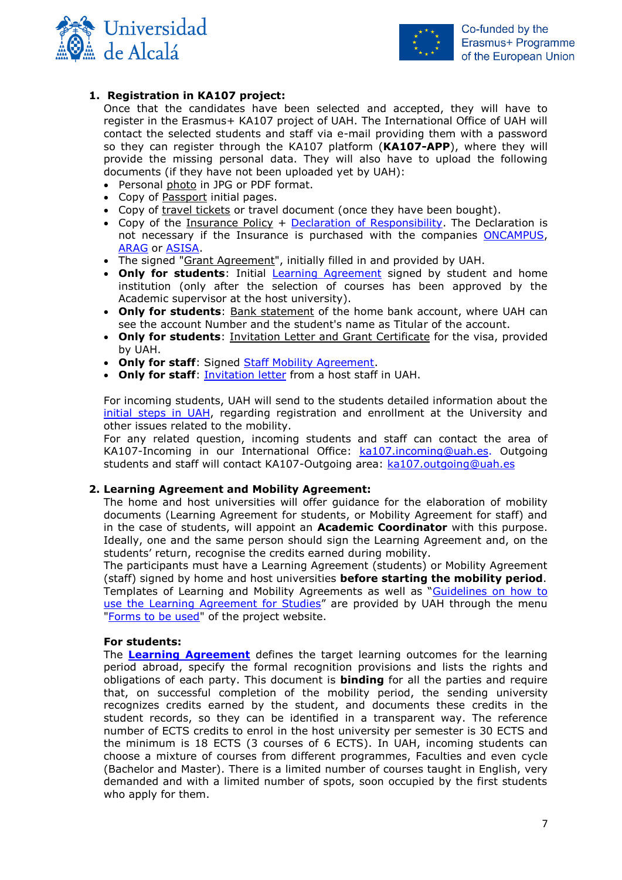



#### **1. Registration in KA107 project:**

<span id="page-6-0"></span>Once that the candidates have been selected and accepted, they will have to register in the Erasmus+ KA107 project of UAH. The International Office of UAH will contact the selected students and staff via e-mail providing them with a password so they can register through the KA107 platform (**KA107-APP**), where they will provide the missing personal data. They will also have to upload the following documents (if they have not been uploaded yet by UAH):

- Personal photo in JPG or PDF format.
- Copy of Passport initial pages.
- Copy of travel tickets or travel document (once they have been bought).
- Copy of the Insurance Policy + [Declaration of Responsibility.](http://www3.uah.es/ka107/Forms.pdf) The Declaration is not necessary if the Insurance is purchased with the companies [ONCAMPUS,](http://www.oncampus.es/en/) [ARAG](https://www.uah.es/es/conoce-la-uah/organizacion-y-gobierno/servicios-universitarios/coordinacion-de-servicios-generales/#seguros-universitarios) or [ASISA.](https://www.fgua.es/seguros/)
- The signed "Grant Agreement", initially filled in and provided by UAH.
- **Only for students**: Initial **Learning Agreement** signed by student and home institution (only after the selection of courses has been approved by the Academic supervisor at the host university).
- **Only for students**: Bank statement of the home bank account, where UAH can see the account Number and the student's name as Titular of the account.
- **Only for students**: Invitation Letter and Grant Certificate for the visa, provided by UAH.
- **Only for staff**: Signed [Staff Mobility Agreement.](http://www3.uah.es/ka107/Forms.pdf)
- **Only for staff**: [Invitation letter](http://www3.uah.es/ka107/Forms/Invitation_Letter_for_INCOMING_STAFF.docx) from a host staff in UAH.

For incoming students, UAH will send to the students detailed information about the [initial steps in](http://www3.uah.es/ka107/Incoming_Students-Initial_Steps_in_UAH.pdf) UAH, regarding registration and enrollment at the University and other issues related to the mobility.

For any related question, incoming students and staff can contact the area of KA107-Incoming in our International Office: [ka107.incoming@uah.es.](mailto:ka107.incoming@uah.es) Outgoing students and staff will contact KA107-Outgoing area: [ka107.outgoing@uah.es](mailto:ka107.outgoing@uah.es)

#### <span id="page-6-1"></span>**2. Learning Agreement and Mobility Agreement:**

The home and host universities will offer guidance for the elaboration of mobility documents (Learning Agreement for students, or Mobility Agreement for staff) and in the case of students, will appoint an **Academic Coordinator** with this purpose. Ideally, one and the same person should sign the Learning Agreement and, on the students' return, recognise the credits earned during mobility.

The participants must have a Learning Agreement (students) or Mobility Agreement (staff) signed by home and host universities **before starting the mobility period**. Templates of Learning and Mobility Agreements as well as "[Guidelines on how to](https://ec.europa.eu/programmes/erasmus-plus/resources/documents/guidelines-how-use-learning-agreement-studies_en)  [use the Learning Agreement for Studies](https://ec.europa.eu/programmes/erasmus-plus/resources/documents/guidelines-how-use-learning-agreement-studies_en)" are provided by UAH through the menu ["Forms to be used"](http://www3.uah.es/ka107/Forms.pdf) of the project website.

#### **For students:**

The **[Learning Agreement](http://www3.uah.es/ka107/Forms/Student-Learning-Agreement.docx)** defines the target learning outcomes for the learning period abroad, specify the formal recognition provisions and lists the rights and obligations of each party. This document is **binding** for all the parties and require that, on successful completion of the mobility period, the sending university recognizes credits earned by the student, and documents these credits in the student records, so they can be identified in a transparent way. The reference number of ECTS credits to enrol in the host university per semester is 30 ECTS and the minimum is 18 ECTS (3 courses of 6 ECTS). In UAH, incoming students can choose a mixture of courses from different programmes, Faculties and even cycle (Bachelor and Master). There is a limited number of courses taught in English, very demanded and with a limited number of spots, soon occupied by the first students who apply for them.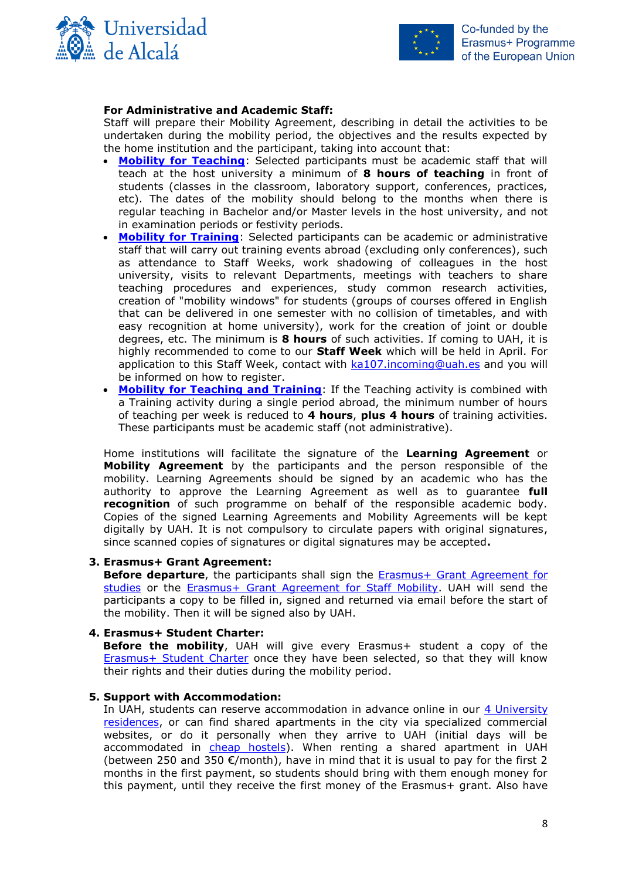



#### **For Administrative and Academic Staff:**

Staff will prepare their Mobility Agreement, describing in detail the activities to be undertaken during the mobility period, the objectives and the results expected by the home institution and the participant, taking into account that:

- **[Mobility for Teaching](http://www3.uah.es/ka107/Forms/Staff-Agreement-Teaching.docx)**: Selected participants must be academic staff that will teach at the host university a minimum of **8 hours of teaching** in front of students (classes in the classroom, laboratory support, conferences, practices, etc). The dates of the mobility should belong to the months when there is regular teaching in Bachelor and/or Master levels in the host university, and not in examination periods or festivity periods.
- **[Mobility for Training](http://www3.uah.es/ka107/Forms/Staff-Agreement-Training.docx)**: Selected participants can be academic or administrative staff that will carry out training events abroad (excluding only conferences), such as attendance to Staff Weeks, work shadowing of colleagues in the host university, visits to relevant Departments, meetings with teachers to share teaching procedures and experiences, study common research activities, creation of "mobility windows" for students (groups of courses offered in English that can be delivered in one semester with no collision of timetables, and with easy recognition at home university), work for the creation of joint or double degrees, etc. The minimum is **8 hours** of such activities. If coming to UAH, it is highly recommended to come to our **Staff Week** which will be held in April. For application to this Staff Week, contact with [ka107.incoming@uah.es](mailto:ka107@uah.es) and you will be informed on how to register.
- **[Mobility for Teaching and Training](http://www3.uah.es/ka107/Forms/Staff-Agreement-Teaching+Training.docx)**: If the Teaching activity is combined with a Training activity during a single period abroad, the minimum number of hours of teaching per week is reduced to **4 hours**, **plus 4 hours** of training activities. These participants must be academic staff (not administrative).

Home institutions will facilitate the signature of the **Learning Agreement** or **Mobility Agreement** by the participants and the person responsible of the mobility. Learning Agreements should be signed by an academic who has the authority to approve the Learning Agreement as well as to guarantee **full recognition** of such programme on behalf of the responsible academic body. Copies of the signed Learning Agreements and Mobility Agreements will be kept digitally by UAH. It is not compulsory to circulate papers with original signatures, since scanned copies of signatures or digital signatures may be accepted**.** 

#### <span id="page-7-0"></span>**3. Erasmus+ Grant Agreement:**

**Before departure**, the participants shall sign the **Erasmus+ Grant Agreement for** [studies](http://www3.uah.es/ka107/Forms/Student-Grant-Agreement.pdf) or the Erasmus+ [Grant Agreement for Staff Mobility.](http://www3.uah.es/ka107/Forms/Staff-Grant-Agreement.pdf) UAH will send the participants a copy to be filled in, signed and returned via email before the start of the mobility. Then it will be signed also by UAH.

#### <span id="page-7-1"></span>**4. Erasmus+ Student Charter:**

**Before the mobility**, UAH will give every Erasmus+ student a copy of the [Erasmus+ Student Charter](http://www3.uah.es/ka107/Erasmus+StudentCharter_EN.pdf) once they have been selected, so that they will know their rights and their duties during the mobility period.

#### <span id="page-7-2"></span>**5. Support with Accommodation:**

In UAH, students can reserve accommodation in advance online in our [4 University](http://www3.uah.es/ka107/Accommodation.pdf)  [residences,](http://www3.uah.es/ka107/Accommodation.pdf) or can find shared apartments in the city via specialized commercial websites, or do it personally when they arrive to UAH (initial days will be accommodated in [cheap hostels\)](http://www3.uah.es/ka107/HostalsAlcala.pdf). When renting a shared apartment in UAH (between 250 and 350  $\epsilon$ /month), have in mind that it is usual to pay for the first 2 months in the first payment, so students should bring with them enough money for this payment, until they receive the first money of the Erasmus+ grant. Also have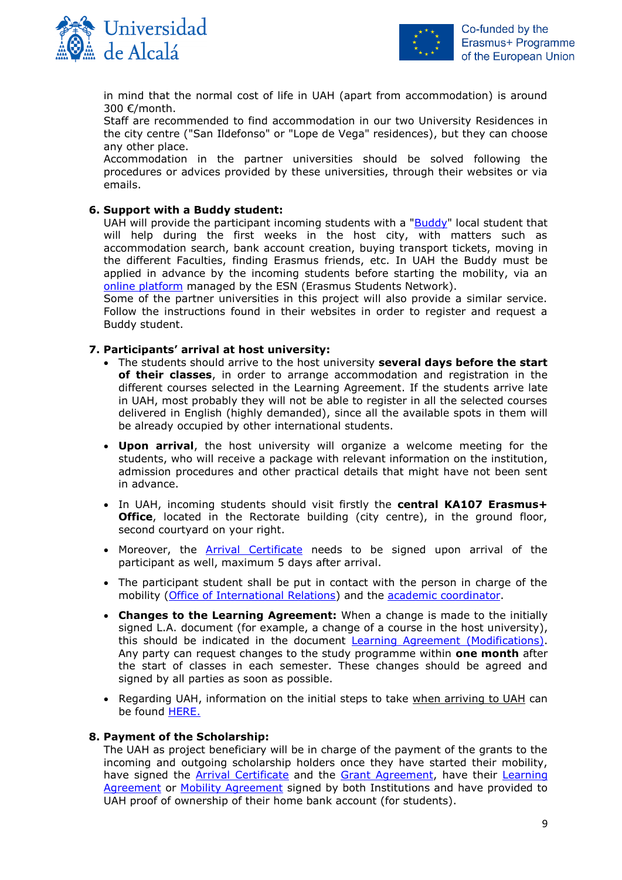



in mind that the normal cost of life in UAH (apart from accommodation) is around 300 €/month.

Staff are recommended to find accommodation in our two University Residences in the city centre ("San Ildefonso" or "Lope de Vega" residences), but they can choose any other place.

Accommodation in the partner universities should be solved following the procedures or advices provided by these universities, through their websites or via emails.

#### <span id="page-8-0"></span>**6. Support with a Buddy student:**

UAH will provide the participant incoming students with a ["Buddy"](https://www.esnuah.org/erasmus) local student that will help during the first weeks in the host city, with matters such as accommodation search, bank account creation, buying transport tickets, moving in the different Faculties, finding Erasmus friends, etc. In UAH the Buddy must be applied in advance by the incoming students before starting the mobility, via an [online platform](https://www.esnuah.org/request-buddy) managed by the ESN (Erasmus Students Network).

Some of the partner universities in this project will also provide a similar service. Follow the instructions found in their websites in order to register and request a Buddy student.

#### <span id="page-8-1"></span>**7. Participants' arrival at host university:**

- The students should arrive to the host university **several days before the start of their classes**, in order to arrange accommodation and registration in the different courses selected in the Learning Agreement. If the students arrive late in UAH, most probably they will not be able to register in all the selected courses delivered in English (highly demanded), since all the available spots in them will be already occupied by other international students.
- **Upon arrival**, the host university will organize a welcome meeting for the students, who will receive a package with relevant information on the institution, admission procedures and other practical details that might have not been sent in advance.
- In UAH, incoming students should visit firstly the **central KA107 Erasmus+ Office**, located in the Rectorate building (city centre), in the ground floor, second courtyard on your right.
- Moreover, the [Arrival Certificate](http://www3.uah.es/ka107/Forms/Arrival-Certificate.doc) needs to be signed upon arrival of the participant as well, maximum 5 days after arrival.
- The participant student shall be put in contact with the person in charge of the mobility [\(Office of International Relations\)](http://www3.uah.es/ka107/InternationalRelationsOffices.pdf) and the [academic coordinator.](http://www.uah.es/export/sites/uah/es/internacional/.galleries/Galeria-de-desgargas-de-Internacional/coordinadores-programas-internacionales.pdf)
- **Changes to the Learning Agreement:** When a change is made to the initially signed L.A. document (for example, a change of a course in the host university), this should be indicated in the document [Learning Agreement \(Modifications\).](http://www3.uah.es/ka107/Forms/Student-Learning-Agreement_Modifications.docx) Any party can request changes to the study programme within **one month** after the start of classes in each semester. These changes should be agreed and signed by all parties as soon as possible.
- Regarding UAH, information on the initial steps to take when arriving to UAH can be found **HERE.**

#### <span id="page-8-2"></span>**8. Payment of the Scholarship:**

The UAH as project beneficiary will be in charge of the payment of the grants to the incoming and outgoing scholarship holders once they have started their mobility, have signed the [Arrival Certificate](http://www3.uah.es/ka107/Forms/Arrival-Certificate.doc) and the [Grant Agreement,](http://www3.uah.es/ka107/Forms/Student-Grant-Agreement.pdf) have their Learning [Agreement](http://www3.uah.es/ka107/Forms/Student-Learning-Agreement.docx) or [Mobility Agreement](http://www3.uah.es/ka107/Forms/Staff-Agreement-Teaching.docx) signed by both Institutions and have provided to UAH proof of ownership of their home bank account (for students).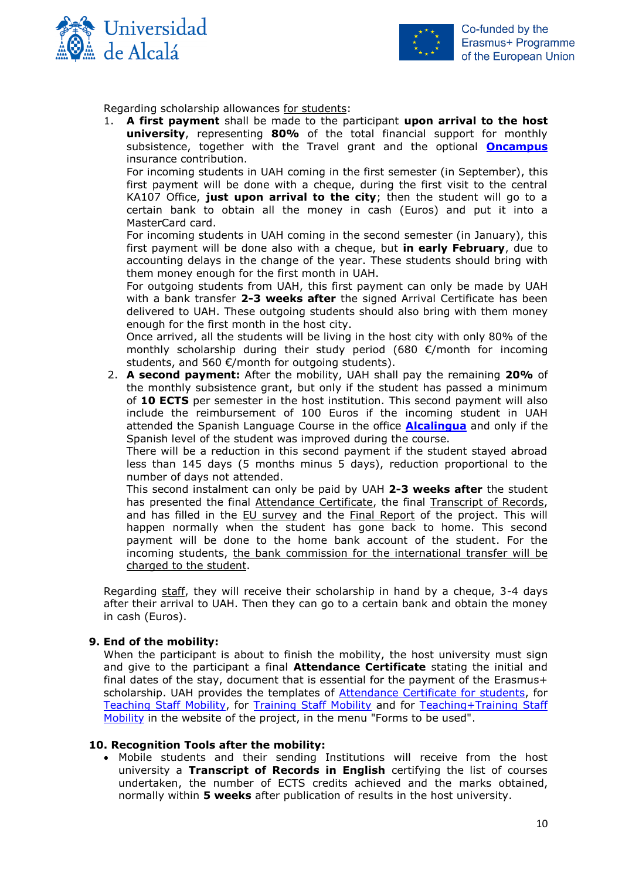



Regarding scholarship allowances for students:

1. **A first payment** shall be made to the participant **upon arrival to the host university**, representing **80%** of the total financial support for monthly subsistence, together with the Travel grant and the optional **[Oncampus](http://www.oncampus.es/en/)** insurance contribution.

For incoming students in UAH coming in the first semester (in September), this first payment will be done with a cheque, during the first visit to the central KA107 Office, **just upon arrival to the city**; then the student will go to a certain bank to obtain all the money in cash (Euros) and put it into a MasterCard card.

For incoming students in UAH coming in the second semester (in January), this first payment will be done also with a cheque, but **in early February**, due to accounting delays in the change of the year. These students should bring with them money enough for the first month in UAH.

For outgoing students from UAH, this first payment can only be made by UAH with a bank transfer **2-3 weeks after** the signed Arrival Certificate has been delivered to UAH. These outgoing students should also bring with them money enough for the first month in the host city.

Once arrived, all the students will be living in the host city with only 80% of the monthly scholarship during their study period (680 €/month for incoming students, and 560  $\epsilon$ /month for outgoing students).

2. **A second payment:** After the mobility, UAH shall pay the remaining **20%** of the monthly subsistence grant, but only if the student has passed a minimum of **10 ECTS** per semester in the host institution. This second payment will also include the reimbursement of 100 Euros if the incoming student in UAH attended the Spanish Language Course in the office **[Alcalingua](http://www.alcalingua.com/en)** and only if the Spanish level of the student was improved during the course.

There will be a reduction in this second payment if the student stayed abroad less than 145 days (5 months minus 5 days), reduction proportional to the number of days not attended.

This second instalment can only be paid by UAH **2-3 weeks after** the student has presented the final Attendance Certificate, the final Transcript of Records, and has filled in the EU survey and the Final Report of the project. This will happen normally when the student has gone back to home. This second payment will be done to the home bank account of the student. For the incoming students, the bank commission for the international transfer will be charged to the student.

Regarding staff, they will receive their scholarship in hand by a cheque, 3-4 days after their arrival to UAH. Then they can go to a certain bank and obtain the money in cash (Euros).

#### <span id="page-9-0"></span>**9. End of the mobility:**

When the participant is about to finish the mobility, the host university must sign and give to the participant a final **Attendance Certificate** stating the initial and final dates of the stay, document that is essential for the payment of the Erasmus+ scholarship. UAH provides the templates of **Attendance Certificate for students**, for [Teaching Staff Mobility,](http://www3.uah.es/ka107/Forms/Attendance-Certificate-Teaching.doc) for [Training Staff Mobility](http://www3.uah.es/ka107/Forms/Attendance-Certificate-Training.doc) and for [Teaching+Training Staff](http://www3.uah.es/ka107/Forms/Attendance-Certificate-Teaching+Training.doc)  [Mobility](http://www3.uah.es/ka107/Forms/Attendance-Certificate-Teaching+Training.doc) in the website of the project, in the menu "Forms to be used".

#### **10. Recognition Tools after the mobility:**

<span id="page-9-1"></span> Mobile students and their sending Institutions will receive from the host university a **Transcript of Records in English** certifying the list of courses undertaken, the number of ECTS credits achieved and the marks obtained, normally within **5 weeks** after publication of results in the host university.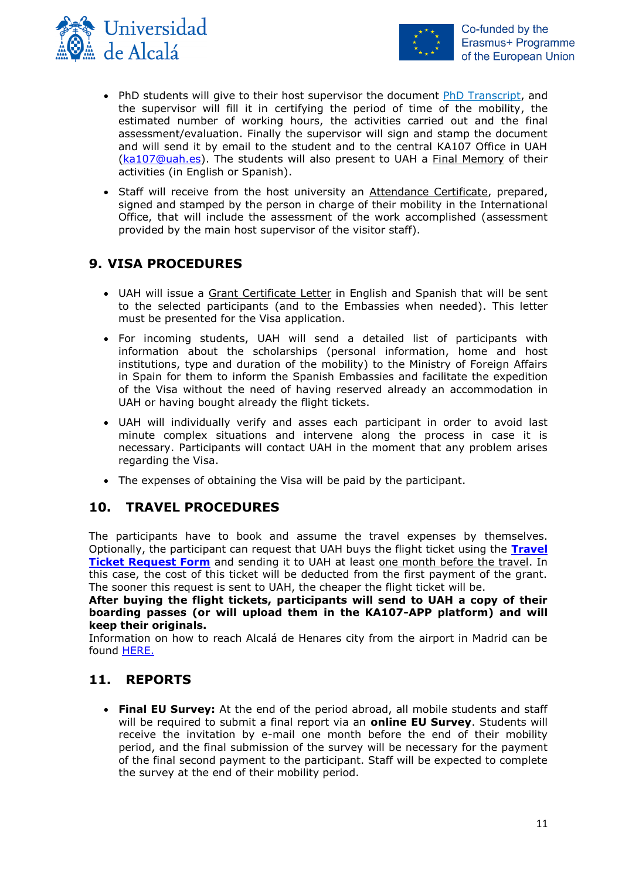



- PhD students will give to their host supervisor the document [PhD Transcript,](http://www3.uah.es/ka107/Forms/PhD-Final_Transcript_for_PhD_students.doc) and the supervisor will fill it in certifying the period of time of the mobility, the estimated number of working hours, the activities carried out and the final assessment/evaluation. Finally the supervisor will sign and stamp the document and will send it by email to the student and to the central KA107 Office in UAH [\(ka107@uah.es\)](mailto:ka107@uah.es). The students will also present to UAH a Final Memory of their activities (in English or Spanish).
- Staff will receive from the host university an Attendance Certificate, prepared, signed and stamped by the person in charge of their mobility in the International Office, that will include the assessment of the work accomplished (assessment provided by the main host supervisor of the visitor staff).

# <span id="page-10-0"></span>**9. VISA PROCEDURES**

- UAH will issue a Grant Certificate Letter in English and Spanish that will be sent to the selected participants (and to the Embassies when needed). This letter must be presented for the Visa application.
- For incoming students, UAH will send a detailed list of participants with information about the scholarships (personal information, home and host institutions, type and duration of the mobility) to the Ministry of Foreign Affairs in Spain for them to inform the Spanish Embassies and facilitate the expedition of the Visa without the need of having reserved already an accommodation in UAH or having bought already the flight tickets.
- UAH will individually verify and asses each participant in order to avoid last minute complex situations and intervene along the process in case it is necessary. Participants will contact UAH in the moment that any problem arises regarding the Visa.
- The expenses of obtaining the Visa will be paid by the participant.

## <span id="page-10-1"></span>**10. TRAVEL PROCEDURES**

The participants have to book and assume the travel expenses by themselves. Optionally, the participant can request that UAH buys the flight ticket using the **[Travel](http://www3.uah.es/ka107/Forms/Travel-Ticket-Application.doc)  [Ticket Request Form](http://www3.uah.es/ka107/Forms/Travel-Ticket-Application.doc)** and sending it to UAH at least one month before the travel. In this case, the cost of this ticket will be deducted from the first payment of the grant. The sooner this request is sent to UAH, the cheaper the flight ticket will be.

**After buying the flight tickets, participants will send to UAH a copy of their boarding passes (or will upload them in the KA107-APP platform) and will keep their originals.**

Information on how to reach Alcalá de Henares city from the airport in Madrid can be found [HERE.](http://www3.uah.es/ka107/Arriving_at_Alcala.pdf)

# <span id="page-10-2"></span>**11. REPORTS**

 **Final EU Survey:** At the end of the period abroad, all mobile students and staff will be required to submit a final report via an **online EU Survey**. Students will receive the invitation by e-mail one month before the end of their mobility period, and the final submission of the survey will be necessary for the payment of the final second payment to the participant. Staff will be expected to complete the survey at the end of their mobility period.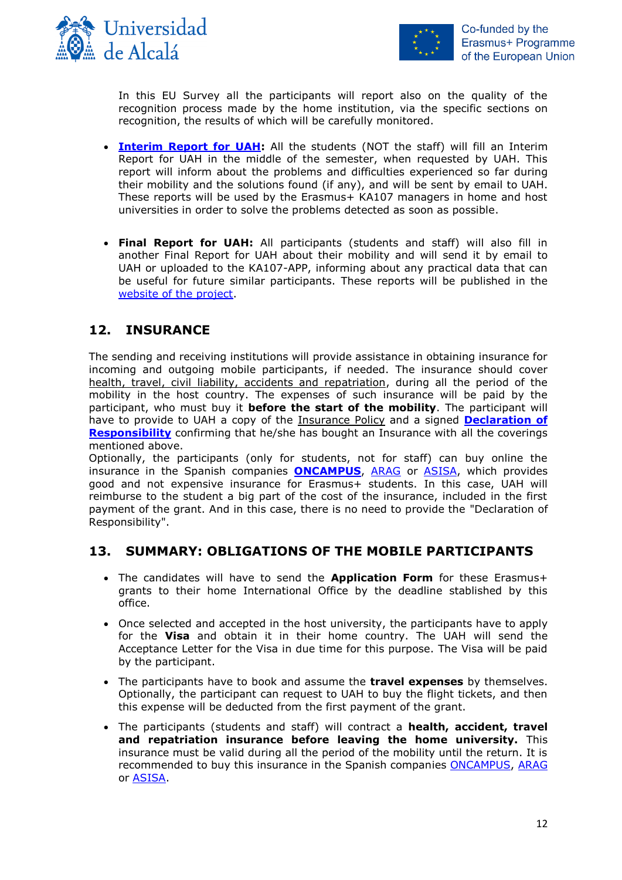



In this EU Survey all the participants will report also on the quality of the recognition process made by the home institution, via the specific sections on recognition, the results of which will be carefully monitored.

- **[Interim Report for UAH:](http://www3.uah.es/ka107/Forms/Interim-Report.doc)** All the students (NOT the staff) will fill an Interim Report for UAH in the middle of the semester, when requested by UAH. This report will inform about the problems and difficulties experienced so far during their mobility and the solutions found (if any), and will be sent by email to UAH. These reports will be used by the Erasmus+ KA107 managers in home and host universities in order to solve the problems detected as soon as possible.
- **Final Report for UAH:** All participants (students and staff) will also fill in another Final Report for UAH about their mobility and will send it by email to UAH or uploaded to the KA107-APP, informing about any practical data that can be useful for future similar participants. These reports will be published in the [website of the project.](http://www3.uah.es/ka107.pdf)

# <span id="page-11-0"></span>**12. INSURANCE**

The sending and receiving institutions will provide assistance in obtaining insurance for incoming and outgoing mobile participants, if needed. The insurance should cover health, travel, civil liability, accidents and repatriation, during all the period of the mobility in the host country. The expenses of such insurance will be paid by the participant, who must buy it **before the start of the mobility**. The participant will have to provide to UAH a copy of the Insurance Policy and a signed **[Declaration of](http://www3.uah.es/ka107/Forms/Declaration-of-Responsability-Erasmus-Non-European-Student.pdf)  [Responsibility](http://www3.uah.es/ka107/Forms/Declaration-of-Responsability-Erasmus-Non-European-Student.pdf)** confirming that he/she has bought an Insurance with all the coverings mentioned above.

Optionally, the participants (only for students, not for staff) can buy online the insurance in the Spanish companies **[ONCAMPUS](http://www.oncampus.es/en/)**, [ARAG](https://www.uah.es/es/conoce-la-uah/organizacion-y-gobierno/servicios-universitarios/coordinacion-de-servicios-generales/#seguros-universitarios) or [ASISA,](https://www.fgua.es/seguros/) which provides good and not expensive insurance for Erasmus+ students. In this case, UAH will reimburse to the student a big part of the cost of the insurance, included in the first payment of the grant. And in this case, there is no need to provide the "Declaration of Responsibility".

## <span id="page-11-1"></span>**13. SUMMARY: OBLIGATIONS OF THE MOBILE PARTICIPANTS**

- The candidates will have to send the **Application Form** for these Erasmus+ grants to their home International Office by the deadline stablished by this office.
- Once selected and accepted in the host university, the participants have to apply for the **Visa** and obtain it in their home country. The UAH will send the Acceptance Letter for the Visa in due time for this purpose. The Visa will be paid by the participant.
- The participants have to book and assume the **travel expenses** by themselves. Optionally, the participant can request to UAH to buy the flight tickets, and then this expense will be deducted from the first payment of the grant.
- The participants (students and staff) will contract a **health, accident, travel and repatriation insurance before leaving the home university.** This insurance must be valid during all the period of the mobility until the return. It is recommended to buy this insurance in the Spanish companies [ONCAMPUS,](http://www.oncampus.es/en/) [ARAG](https://www.uah.es/es/conoce-la-uah/organizacion-y-gobierno/servicios-universitarios/coordinacion-de-servicios-generales/#seguros-universitarios) or [ASISA.](https://www.fgua.es/seguros/)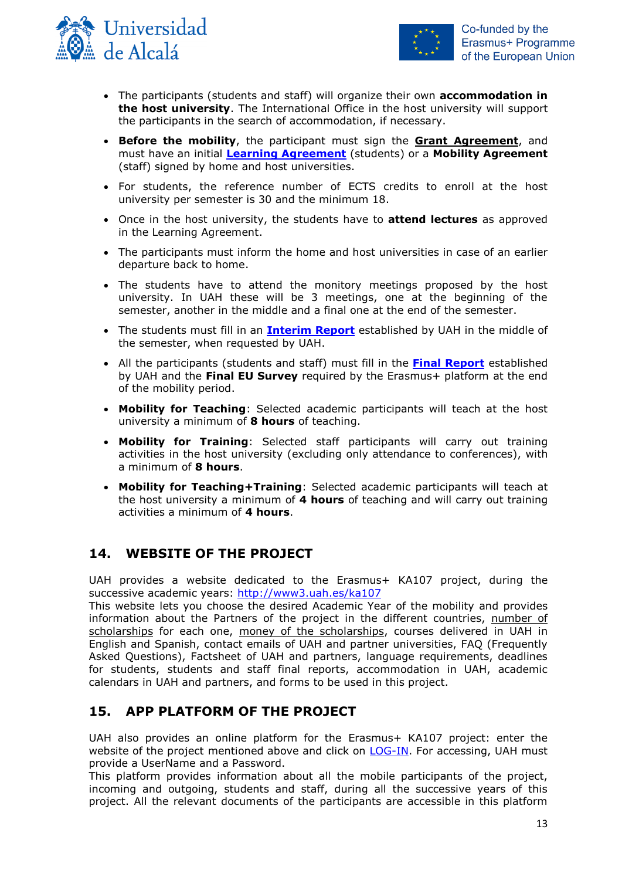



- The participants (students and staff) will organize their own **accommodation in the host university**. The International Office in the host university will support the participants in the search of accommodation, if necessary.
- **Before the mobility**, the participant must sign the **Grant Agreement**, and must have an initial **[Learning Agreement](http://www3.uah.es/ka107/Forms/Learning-Agreement.doc)** (students) or a **Mobility Agreement** (staff) signed by home and host universities.
- For students, the reference number of ECTS credits to enroll at the host university per semester is 30 and the minimum 18.
- Once in the host university, the students have to **attend lectures** as approved in the Learning Agreement.
- The participants must inform the home and host universities in case of an earlier departure back to home.
- The students have to attend the monitory meetings proposed by the host university. In UAH these will be 3 meetings, one at the beginning of the semester, another in the middle and a final one at the end of the semester.
- The students must fill in an **[Interim](http://www3.uah.es/ka107/Forms/Interim-Report.doc) Report** established by UAH in the middle of the semester, when requested by UAH.
- All the participants (students and staff) must fill in the **[Final Report](http://www3.uah.es/ka107/Forms/Final-Report.doc)** established by UAH and the **Final EU Survey** required by the Erasmus+ platform at the end of the mobility period.
- **Mobility for Teaching**: Selected academic participants will teach at the host university a minimum of **8 hours** of teaching.
- **Mobility for Training**: Selected staff participants will carry out training activities in the host university (excluding only attendance to conferences), with a minimum of **8 hours**.
- **Mobility for Teaching+Training**: Selected academic participants will teach at the host university a minimum of **4 hours** of teaching and will carry out training activities a minimum of **4 hours**.

## <span id="page-12-0"></span>**14. WEBSITE OF THE PROJECT**

UAH provides a website dedicated to the Erasmus+ KA107 project, during the successive academic years:<http://www3.uah.es/ka107>

This website lets you choose the desired Academic Year of the mobility and provides information about the Partners of the project in the different countries, number of scholarships for each one, money of the scholarships, courses delivered in UAH in English and Spanish, contact emails of UAH and partner universities, FAQ (Frequently Asked Questions), Factsheet of UAH and partners, language requirements, deadlines for students, students and staff final reports, accommodation in UAH, academic calendars in UAH and partners, and forms to be used in this project.

## <span id="page-12-1"></span>**15. APP PLATFORM OF THE PROJECT**

UAH also provides an online platform for the Erasmus+ KA107 project: enter the website of the project mentioned above and click on [LOG-IN.](https://ka107-uah.herokuapp.com/login/) For accessing, UAH must provide a UserName and a Password.

This platform provides information about all the mobile participants of the project, incoming and outgoing, students and staff, during all the successive years of this project. All the relevant documents of the participants are accessible in this platform